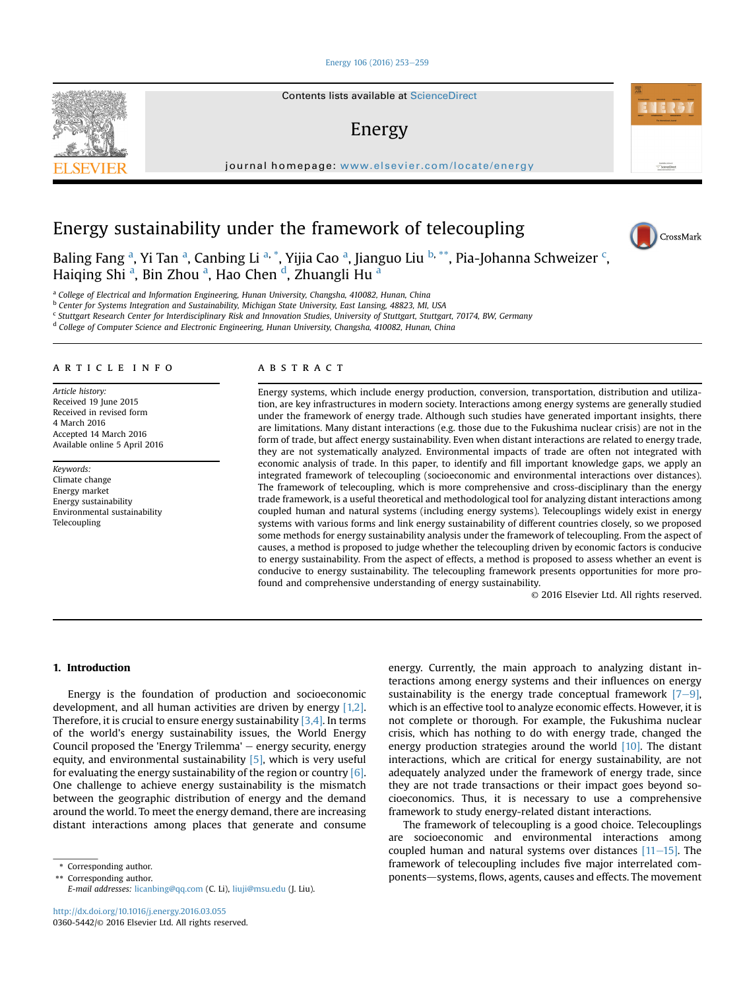#### Energy 106 (2016) 253-259

# Energy

journal homepage: www.elsevier.com/locate/energy

# Energy sustainability under the framework of telecoupling

CrossMark

Antala utora<br>ScienceDirec

Baling Fang <sup>a</sup>, Yi Tan <sup>a</sup>, Canbing Li <sup>a, \*</sup>, Yijia Cao <sup>a</sup>, Jianguo Liu <sup>b, \*\*</sup>, Pia-Johanna Schweizer <sup>c</sup>, Haiqing Shi <sup>a</sup>, Bin Zhou <sup>a</sup>, Hao Chen <sup>d</sup>, Zhuangli Hu <sup>a</sup>

<sup>a</sup> College of Electrical and Information Engineering, Hunan University, Changsha, 410082, Hunan, China

<sup>b</sup> Center for Systems Integration and Sustainability, Michigan State University, East Lansing, 48823, MI, USA

- <sup>c</sup> Stuttgart Research Center for Interdisciplinary Risk and Innovation Studies, University of Stuttgart, Stuttgart, 70174, BW, Germany
- <sup>d</sup> College of Computer Science and Electronic Engineering, Hunan University, Changsha, 410082, Hunan, China

#### article info

Article history: Received 19 June 2015 Received in revised form 4 March 2016 Accepted 14 March 2016 Available online 5 April 2016

Keywords: Climate change Energy market Energy sustainability Environmental sustainability Telecoupling

#### **ABSTRACT**

Energy systems, which include energy production, conversion, transportation, distribution and utilization, are key infrastructures in modern society. Interactions among energy systems are generally studied under the framework of energy trade. Although such studies have generated important insights, there are limitations. Many distant interactions (e.g. those due to the Fukushima nuclear crisis) are not in the form of trade, but affect energy sustainability. Even when distant interactions are related to energy trade, they are not systematically analyzed. Environmental impacts of trade are often not integrated with economic analysis of trade. In this paper, to identify and fill important knowledge gaps, we apply an integrated framework of telecoupling (socioeconomic and environmental interactions over distances). The framework of telecoupling, which is more comprehensive and cross-disciplinary than the energy trade framework, is a useful theoretical and methodological tool for analyzing distant interactions among coupled human and natural systems (including energy systems). Telecouplings widely exist in energy systems with various forms and link energy sustainability of different countries closely, so we proposed some methods for energy sustainability analysis under the framework of telecoupling. From the aspect of causes, a method is proposed to judge whether the telecoupling driven by economic factors is conducive to energy sustainability. From the aspect of effects, a method is proposed to assess whether an event is conducive to energy sustainability. The telecoupling framework presents opportunities for more profound and comprehensive understanding of energy sustainability.

© 2016 Elsevier Ltd. All rights reserved.

#### 1. Introduction

Energy is the foundation of production and socioeconomic development, and all human activities are driven by energy [1,2]. Therefore, it is crucial to ensure energy sustainability [3,4]. In terms of the world's energy sustainability issues, the World Energy Council proposed the 'Energy Trilemma'  $-$  energy security, energy equity, and environmental sustainability [5], which is very useful for evaluating the energy sustainability of the region or country [6]. One challenge to achieve energy sustainability is the mismatch between the geographic distribution of energy and the demand around the world. To meet the energy demand, there are increasing distant interactions among places that generate and consume

Corresponding author.

E-mail addresses: licanbing@qq.com (C. Li), liuji@msu.edu (J. Liu).

energy. Currently, the main approach to analyzing distant interactions among energy systems and their influences on energy sustainability is the energy trade conceptual framework  $[7-9]$ , which is an effective tool to analyze economic effects. However, it is not complete or thorough. For example, the Fukushima nuclear crisis, which has nothing to do with energy trade, changed the energy production strategies around the world [10]. The distant interactions, which are critical for energy sustainability, are not adequately analyzed under the framework of energy trade, since they are not trade transactions or their impact goes beyond socioeconomics. Thus, it is necessary to use a comprehensive framework to study energy-related distant interactions.

The framework of telecoupling is a good choice. Telecouplings are socioeconomic and environmental interactions among coupled human and natural systems over distances  $[11–15]$ . The framework of telecoupling includes five major interrelated components-systems, flows, agents, causes and effects. The movement



<sup>\*</sup> Corresponding author.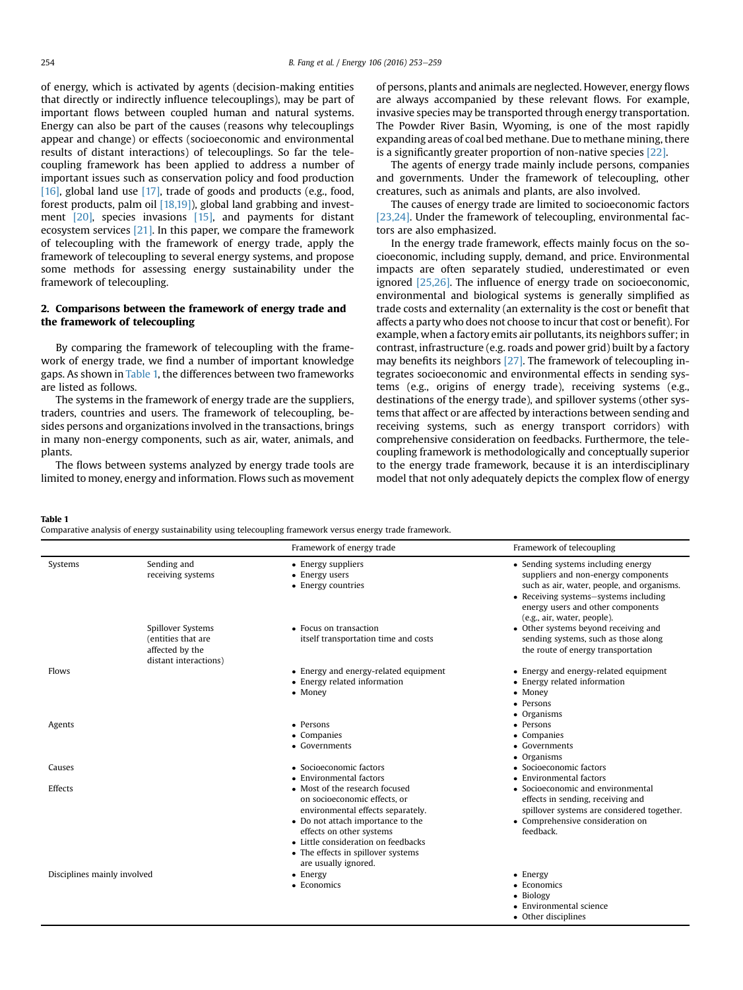of energy, which is activated by agents (decision-making entities that directly or indirectly influence telecouplings), may be part of important flows between coupled human and natural systems. Energy can also be part of the causes (reasons why telecouplings appear and change) or effects (socioeconomic and environmental results of distant interactions) of telecouplings. So far the telecoupling framework has been applied to address a number of important issues such as conservation policy and food production [16], global land use  $[17]$ , trade of goods and products (e.g., food, forest products, palm oil [18,19]), global land grabbing and investment [20], species invasions [15], and payments for distant ecosystem services [21]. In this paper, we compare the framework of telecoupling with the framework of energy trade, apply the framework of telecoupling to several energy systems, and propose some methods for assessing energy sustainability under the framework of telecoupling.

# 2. Comparisons between the framework of energy trade and the framework of telecoupling

By comparing the framework of telecoupling with the framework of energy trade, we find a number of important knowledge gaps. As shown in Table 1, the differences between two frameworks are listed as follows.

The systems in the framework of energy trade are the suppliers, traders, countries and users. The framework of telecoupling, besides persons and organizations involved in the transactions, brings in many non-energy components, such as air, water, animals, and plants.

The flows between systems analyzed by energy trade tools are limited to money, energy and information. Flows such as movement of persons, plants and animals are neglected. However, energy flows are always accompanied by these relevant flows. For example, invasive species may be transported through energy transportation. The Powder River Basin, Wyoming, is one of the most rapidly expanding areas of coal bed methane. Due to methane mining, there is a significantly greater proportion of non-native species [22].

The agents of energy trade mainly include persons, companies and governments. Under the framework of telecoupling, other creatures, such as animals and plants, are also involved.

The causes of energy trade are limited to socioeconomic factors [23,24]. Under the framework of telecoupling, environmental factors are also emphasized.

In the energy trade framework, effects mainly focus on the socioeconomic, including supply, demand, and price. Environmental impacts are often separately studied, underestimated or even ignored [25,26]. The influence of energy trade on socioeconomic, environmental and biological systems is generally simplified as trade costs and externality (an externality is the cost or benefit that affects a party who does not choose to incur that cost or benefit). For example, when a factory emits air pollutants, its neighbors suffer; in contrast, infrastructure (e.g. roads and power grid) built by a factory may benefits its neighbors [27]. The framework of telecoupling integrates socioeconomic and environmental effects in sending systems (e.g., origins of energy trade), receiving systems (e.g., destinations of the energy trade), and spillover systems (other systems that affect or are affected by interactions between sending and receiving systems, such as energy transport corridors) with comprehensive consideration on feedbacks. Furthermore, the telecoupling framework is methodologically and conceptually superior to the energy trade framework, because it is an interdisciplinary model that not only adequately depicts the complex flow of energy

#### Table 1

Comparative analysis of energy sustainability using telecoupling framework versus energy trade framework.

|                             |                                                                                     | Framework of energy trade                                                                                                                                                                                                                                                 | Framework of telecoupling                                                                                                                                                                                                            |
|-----------------------------|-------------------------------------------------------------------------------------|---------------------------------------------------------------------------------------------------------------------------------------------------------------------------------------------------------------------------------------------------------------------------|--------------------------------------------------------------------------------------------------------------------------------------------------------------------------------------------------------------------------------------|
| Systems                     | Sending and<br>receiving systems                                                    | • Energy suppliers<br>• Energy users<br>• Energy countries                                                                                                                                                                                                                | • Sending systems including energy<br>suppliers and non-energy components<br>such as air, water, people, and organisms.<br>• Receiving systems-systems including<br>energy users and other components<br>(e.g., air, water, people). |
|                             | Spillover Systems<br>(entities that are<br>affected by the<br>distant interactions) | • Focus on transaction<br>itself transportation time and costs                                                                                                                                                                                                            | • Other systems beyond receiving and<br>sending systems, such as those along<br>the route of energy transportation                                                                                                                   |
| Flows                       |                                                                                     | • Energy and energy-related equipment<br>• Energy related information<br>• Money                                                                                                                                                                                          | • Energy and energy-related equipment<br>• Energy related information<br>• Money<br>• Persons<br>• Organisms                                                                                                                         |
| Agents                      |                                                                                     | • Persons<br>• Companies<br>• Governments                                                                                                                                                                                                                                 | • Persons<br>• Companies<br>• Governments<br>• Organisms                                                                                                                                                                             |
| Causes                      |                                                                                     | • Socioeconomic factors<br>• Environmental factors                                                                                                                                                                                                                        | • Socioeconomic factors<br>• Environmental factors                                                                                                                                                                                   |
| Effects                     |                                                                                     | • Most of the research focused<br>on socioeconomic effects, or<br>environmental effects separately.<br>• Do not attach importance to the<br>effects on other systems<br>• Little consideration on feedbacks<br>• The effects in spillover systems<br>are usually ignored. | • Socioeconomic and environmental<br>effects in sending, receiving and<br>spillover systems are considered together.<br>• Comprehensive consideration on<br>feedback.                                                                |
| Disciplines mainly involved |                                                                                     | • Energy<br>• Economics                                                                                                                                                                                                                                                   | $\bullet$ Energy<br>• Economics<br>• Biology<br>• Environmental science<br>• Other disciplines                                                                                                                                       |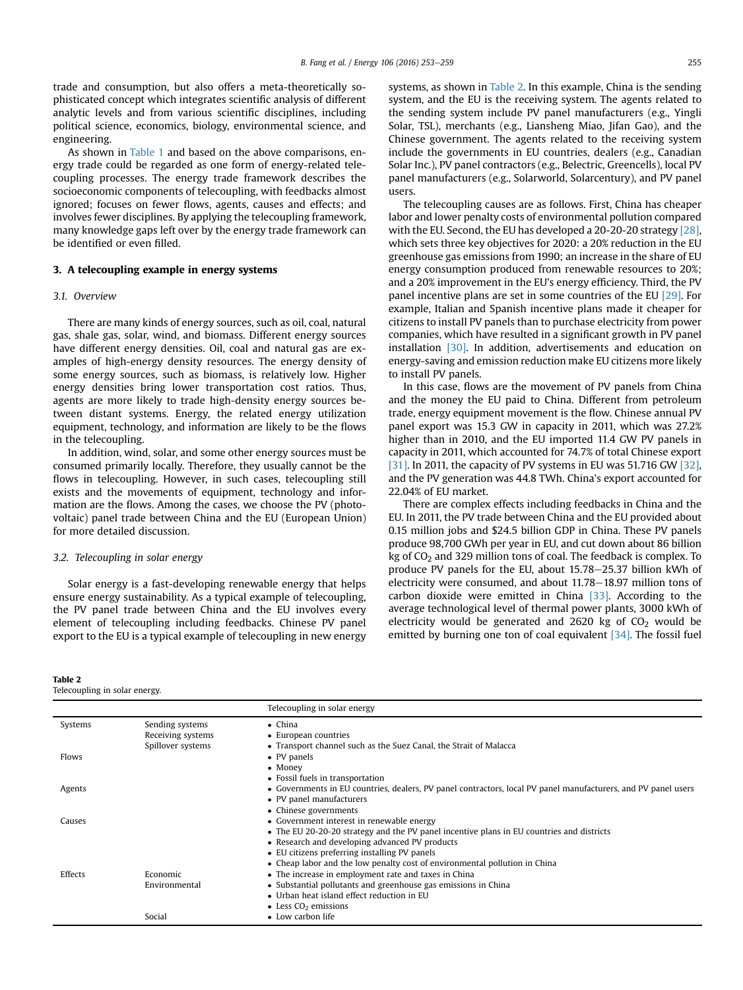trade and consumption, but also offers a meta-theoretically sophisticated concept which integrates scientific analysis of different analytic levels and from various scientific disciplines, including political science, economics, biology, environmental science, and engineering.

As shown in Table 1 and based on the above comparisons, energy trade could be regarded as one form of energy-related telecoupling processes. The energy trade framework describes the socioeconomic components of telecoupling, with feedbacks almost ignored; focuses on fewer flows, agents, causes and effects; and involves fewer disciplines. By applying the telecoupling framework, many knowledge gaps left over by the energy trade framework can be identified or even filled.

## 3. A telecoupling example in energy systems

#### 3.1. Overview

There are many kinds of energy sources, such as oil, coal, natural gas, shale gas, solar, wind, and biomass. Different energy sources have different energy densities. Oil, coal and natural gas are examples of high-energy density resources. The energy density of some energy sources, such as biomass, is relatively low. Higher energy densities bring lower transportation cost ratios. Thus, agents are more likely to trade high-density energy sources between distant systems. Energy, the related energy utilization equipment, technology, and information are likely to be the flows in the telecoupling.

In addition, wind, solar, and some other energy sources must be consumed primarily locally. Therefore, they usually cannot be the flows in telecoupling. However, in such cases, telecoupling still exists and the movements of equipment, technology and information are the flows. Among the cases, we choose the PV (photovoltaic) panel trade between China and the EU (European Union) for more detailed discussion.

#### 3.2. Telecoupling in solar energy

Solar energy is a fast-developing renewable energy that helps ensure energy sustainability. As a typical example of telecoupling, the PV panel trade between China and the EU involves every element of telecoupling including feedbacks. Chinese PV panel export to the EU is a typical example of telecoupling in new energy

Table 2 Telecoupling in solar energy. systems, as shown in Table 2. In this example, China is the sending system, and the EU is the receiving system. The agents related to the sending system include PV panel manufacturers (e.g., Yingli Solar, TSL), merchants (e.g., Liansheng Miao, Jifan Gao), and the Chinese government. The agents related to the receiving system include the governments in EU countries, dealers (e.g., Canadian Solar Inc.), PV panel contractors (e.g., Belectric, Greencells), local PV panel manufacturers (e.g., Solarworld, Solarcentury), and PV panel users.

The telecoupling causes are as follows. First, China has cheaper labor and lower penalty costs of environmental pollution compared with the EU. Second, the EU has developed a 20-20-20 strategy [28], which sets three key objectives for 2020: a 20% reduction in the EU greenhouse gas emissions from 1990; an increase in the share of EU energy consumption produced from renewable resources to 20%; and a 20% improvement in the EU's energy efficiency. Third, the PV panel incentive plans are set in some countries of the EU [29]. For example, Italian and Spanish incentive plans made it cheaper for citizens to install PV panels than to purchase electricity from power companies, which have resulted in a significant growth in PV panel installation [30]. In addition, advertisements and education on energy-saving and emission reduction make EU citizens more likely to install PV panels.

In this case, flows are the movement of PV panels from China and the money the EU paid to China. Different from petroleum trade, energy equipment movement is the flow. Chinese annual PV panel export was 15.3 GW in capacity in 2011, which was 27.2% higher than in 2010, and the EU imported 11.4 GW PV panels in capacity in 2011, which accounted for 74.7% of total Chinese export [31]. In 2011, the capacity of PV systems in EU was 51.716 GW [32], and the PV generation was 44.8 TWh. China's export accounted for 22.04% of EU market.

There are complex effects including feedbacks in China and the EU. In 2011, the PV trade between China and the EU provided about 0.15 million jobs and \$24.5 billion GDP in China. These PV panels produce 98,700 GWh per year in EU, and cut down about 86 billion kg of  $CO<sub>2</sub>$  and 329 million tons of coal. The feedback is complex. To produce PV panels for the EU, about 15.78-25.37 billion kWh of electricity were consumed, and about 11.78-18.97 million tons of carbon dioxide were emitted in China [33]. According to the average technological level of thermal power plants, 3000 kWh of electricity would be generated and  $2620$  kg of  $CO<sub>2</sub>$  would be emitted by burning one ton of coal equivalent [34]. The fossil fuel

|         |                   | Telecoupling in solar energy                                                                                   |
|---------|-------------------|----------------------------------------------------------------------------------------------------------------|
| Systems | Sending systems   | $\bullet$ China                                                                                                |
|         | Receiving systems | • European countries                                                                                           |
|         | Spillover systems | • Transport channel such as the Suez Canal, the Strait of Malacca                                              |
| Flows   |                   | • PV panels                                                                                                    |
|         |                   | • Money                                                                                                        |
|         |                   | • Fossil fuels in transportation                                                                               |
| Agents  |                   | • Governments in EU countries, dealers, PV panel contractors, local PV panel manufacturers, and PV panel users |
|         |                   | • PV panel manufacturers                                                                                       |
|         |                   | • Chinese governments                                                                                          |
| Causes  |                   | • Government interest in renewable energy                                                                      |
|         |                   | • The EU 20-20-20 strategy and the PV panel incentive plans in EU countries and districts                      |
|         |                   | • Research and developing advanced PV products                                                                 |
|         |                   | • EU citizens preferring installing PV panels                                                                  |
|         |                   | • Cheap labor and the low penalty cost of environmental pollution in China                                     |
| Effects | Economic          | • The increase in employment rate and taxes in China                                                           |
|         | Environmental     | • Substantial pollutants and greenhouse gas emissions in China                                                 |
|         |                   | • Urban heat island effect reduction in EU                                                                     |
|         |                   | • Less $CO2$ emissions                                                                                         |
|         | Social            | • Low carbon life                                                                                              |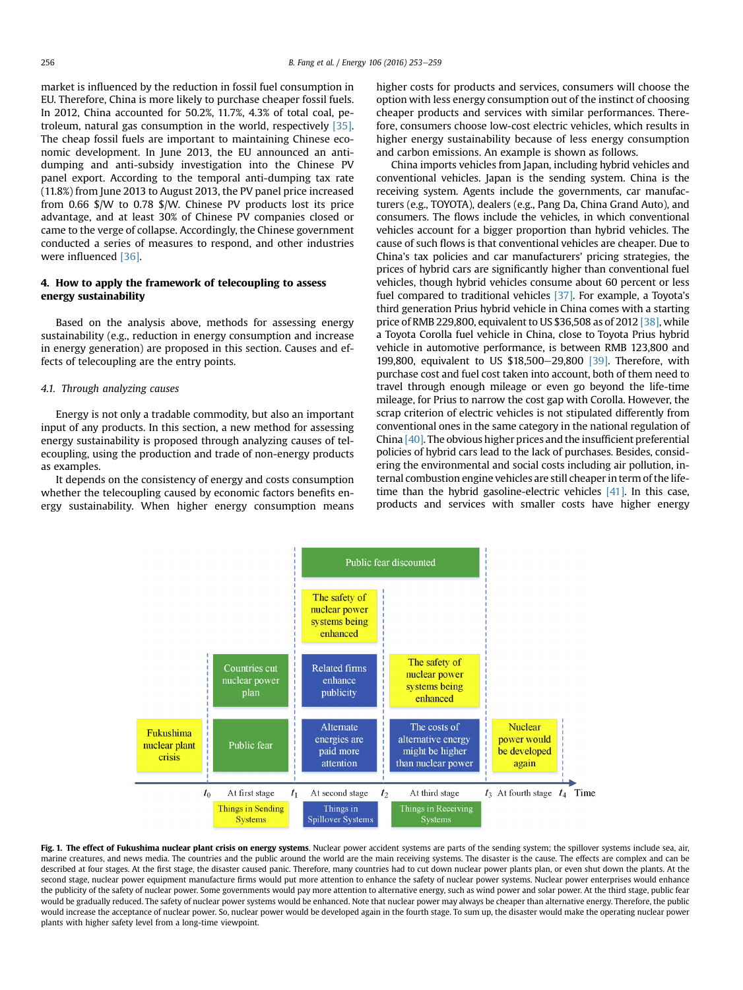market is influenced by the reduction in fossil fuel consumption in EU. Therefore, China is more likely to purchase cheaper fossil fuels. In 2012, China accounted for 50.2%, 11.7%, 4.3% of total coal, petroleum, natural gas consumption in the world, respectively [35]. The cheap fossil fuels are important to maintaining Chinese economic development. In June 2013, the EU announced an antidumping and anti-subsidy investigation into the Chinese PV panel export. According to the temporal anti-dumping tax rate (11.8%) from June 2013 to August 2013, the PV panel price increased from 0.66 \$/W to 0.78 \$/W. Chinese PV products lost its price advantage, and at least 30% of Chinese PV companies closed or came to the verge of collapse. Accordingly, the Chinese government conducted a series of measures to respond, and other industries were influenced [36].

# 4. How to apply the framework of telecoupling to assess energy sustainability

Based on the analysis above, methods for assessing energy sustainability (e.g., reduction in energy consumption and increase in energy generation) are proposed in this section. Causes and effects of telecoupling are the entry points.

#### 4.1. Through analyzing causes

Energy is not only a tradable commodity, but also an important input of any products. In this section, a new method for assessing energy sustainability is proposed through analyzing causes of telecoupling, using the production and trade of non-energy products as examples.

It depends on the consistency of energy and costs consumption whether the telecoupling caused by economic factors benefits energy sustainability. When higher energy consumption means higher costs for products and services, consumers will choose the option with less energy consumption out of the instinct of choosing cheaper products and services with similar performances. Therefore, consumers choose low-cost electric vehicles, which results in higher energy sustainability because of less energy consumption and carbon emissions. An example is shown as follows.

China imports vehicles from Japan, including hybrid vehicles and conventional vehicles. Japan is the sending system. China is the receiving system. Agents include the governments, car manufacturers (e.g., TOYOTA), dealers (e.g., Pang Da, China Grand Auto), and consumers. The flows include the vehicles, in which conventional vehicles account for a bigger proportion than hybrid vehicles. The cause of such flows is that conventional vehicles are cheaper. Due to China's tax policies and car manufacturers' pricing strategies, the prices of hybrid cars are significantly higher than conventional fuel vehicles, though hybrid vehicles consume about 60 percent or less fuel compared to traditional vehicles [37]. For example, a Toyota's third generation Prius hybrid vehicle in China comes with a starting price of RMB 229,800, equivalent to US \$36,508 as of 2012  $[38]$ , while a Toyota Corolla fuel vehicle in China, close to Toyota Prius hybrid vehicle in automotive performance, is between RMB 123,800 and 199,800, equivalent to US \$18,500-29,800 [39]. Therefore, with purchase cost and fuel cost taken into account, both of them need to travel through enough mileage or even go beyond the life-time mileage, for Prius to narrow the cost gap with Corolla. However, the scrap criterion of electric vehicles is not stipulated differently from conventional ones in the same category in the national regulation of China [40]. The obvious higher prices and the insufficient preferential policies of hybrid cars lead to the lack of purchases. Besides, considering the environmental and social costs including air pollution, internal combustion engine vehicles are still cheaper in term of the lifetime than the hybrid gasoline-electric vehicles [41]. In this case, products and services with smaller costs have higher energy



Fig. 1. The effect of Fukushima nuclear plant crisis on energy systems. Nuclear power accident systems are parts of the sending system; the spillover systems include sea, air, marine creatures, and news media. The countries and the public around the world are the main receiving systems. The disaster is the cause. The effects are complex and can be described at four stages. At the first stage, the disaster caused panic. Therefore, many countries had to cut down nuclear power plants plan, or even shut down the plants. At the second stage, nuclear power equipment manufacture firms would put more attention to enhance the safety of nuclear power systems. Nuclear power enterprises would enhance the publicity of the safety of nuclear power. Some governments would pay more attention to alternative energy, such as wind power and solar power. At the third stage, public fear would be gradually reduced. The safety of nuclear power systems would be enhanced. Note that nuclear power may always be cheaper than alternative energy. Therefore, the public would increase the acceptance of nuclear power. So, nuclear power would be developed again in the fourth stage. To sum up, the disaster would make the operating nuclear power plants with higher safety level from a long-time viewpoint.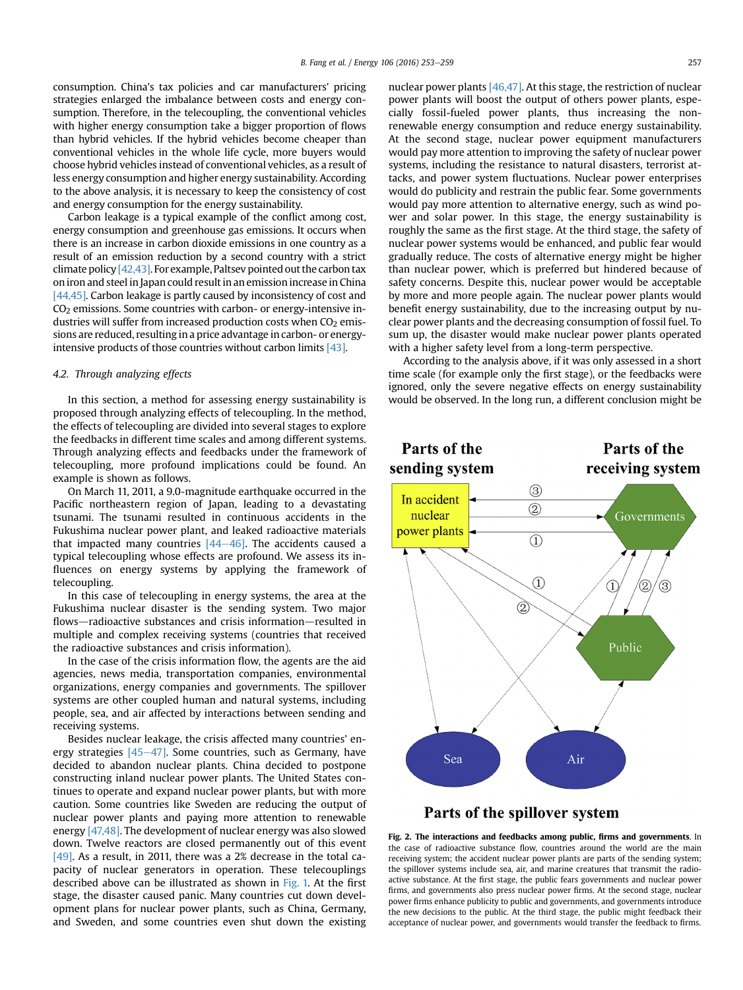consumption. China's tax policies and car manufacturers' pricing strategies enlarged the imbalance between costs and energy consumption. Therefore, in the telecoupling, the conventional vehicles with higher energy consumption take a bigger proportion of flows than hybrid vehicles. If the hybrid vehicles become cheaper than conventional vehicles in the whole life cycle, more buyers would choose hybrid vehicles instead of conventional vehicles, as a result of less energy consumption and higher energy sustainability. According to the above analysis, it is necessary to keep the consistency of cost and energy consumption for the energy sustainability.

Carbon leakage is a typical example of the conflict among cost, energy consumption and greenhouse gas emissions. It occurs when there is an increase in carbon dioxide emissions in one country as a result of an emission reduction by a second country with a strict climate policy  $[42,43]$ . For example, Paltsev pointed out the carbon tax on iron and steel in Japan could result in an emission increase in China [44,45]. Carbon leakage is partly caused by inconsistency of cost and  $CO<sub>2</sub>$  emissions. Some countries with carbon- or energy-intensive industries will suffer from increased production costs when  $CO<sub>2</sub>$  emissions are reduced, resulting in a price advantage in carbon- or energyintensive products of those countries without carbon limits [43].

#### 4.2. Through analyzing effects

In this section, a method for assessing energy sustainability is proposed through analyzing effects of telecoupling. In the method, the effects of telecoupling are divided into several stages to explore the feedbacks in different time scales and among different systems. Through analyzing effects and feedbacks under the framework of telecoupling, more profound implications could be found. An example is shown as follows.

On March 11, 2011, a 9.0-magnitude earthquake occurred in the Pacific northeastern region of Japan, leading to a devastating tsunami. The tsunami resulted in continuous accidents in the Fukushima nuclear power plant, and leaked radioactive materials that impacted many countries  $[44-46]$ . The accidents caused a typical telecoupling whose effects are profound. We assess its influences on energy systems by applying the framework of telecoupling.

In this case of telecoupling in energy systems, the area at the Fukushima nuclear disaster is the sending system. Two major flows-radioactive substances and crisis information-resulted in multiple and complex receiving systems (countries that received the radioactive substances and crisis information).

In the case of the crisis information flow, the agents are the aid agencies, news media, transportation companies, environmental organizations, energy companies and governments. The spillover systems are other coupled human and natural systems, including people, sea, and air affected by interactions between sending and receiving systems.

Besides nuclear leakage, the crisis affected many countries' energy strategies  $[45-47]$ . Some countries, such as Germany, have decided to abandon nuclear plants. China decided to postpone constructing inland nuclear power plants. The United States continues to operate and expand nuclear power plants, but with more caution. Some countries like Sweden are reducing the output of nuclear power plants and paying more attention to renewable energy [47,48]. The development of nuclear energy was also slowed down. Twelve reactors are closed permanently out of this event  $[49]$ . As a result, in 2011, there was a 2% decrease in the total capacity of nuclear generators in operation. These telecouplings described above can be illustrated as shown in Fig. 1. At the first stage, the disaster caused panic. Many countries cut down development plans for nuclear power plants, such as China, Germany, and Sweden, and some countries even shut down the existing

nuclear power plants [46,47]. At this stage, the restriction of nuclear power plants will boost the output of others power plants, especially fossil-fueled power plants, thus increasing the nonrenewable energy consumption and reduce energy sustainability. At the second stage, nuclear power equipment manufacturers would pay more attention to improving the safety of nuclear power systems, including the resistance to natural disasters, terrorist attacks, and power system fluctuations. Nuclear power enterprises would do publicity and restrain the public fear. Some governments would pay more attention to alternative energy, such as wind power and solar power. In this stage, the energy sustainability is roughly the same as the first stage. At the third stage, the safety of nuclear power systems would be enhanced, and public fear would gradually reduce. The costs of alternative energy might be higher than nuclear power, which is preferred but hindered because of safety concerns. Despite this, nuclear power would be acceptable by more and more people again. The nuclear power plants would benefit energy sustainability, due to the increasing output by nuclear power plants and the decreasing consumption of fossil fuel. To sum up, the disaster would make nuclear power plants operated with a higher safety level from a long-term perspective.

According to the analysis above, if it was only assessed in a short time scale (for example only the first stage), or the feedbacks were ignored, only the severe negative effects on energy sustainability would be observed. In the long run, a different conclusion might be





Fig. 2. The interactions and feedbacks among public, firms and governments. In the case of radioactive substance flow, countries around the world are the main receiving system; the accident nuclear power plants are parts of the sending system; the spillover systems include sea, air, and marine creatures that transmit the radioactive substance. At the first stage, the public fears governments and nuclear power firms, and governments also press nuclear power firms. At the second stage, nuclear power firms enhance publicity to public and governments, and governments introduce the new decisions to the public. At the third stage, the public might feedback their acceptance of nuclear power, and governments would transfer the feedback to firms.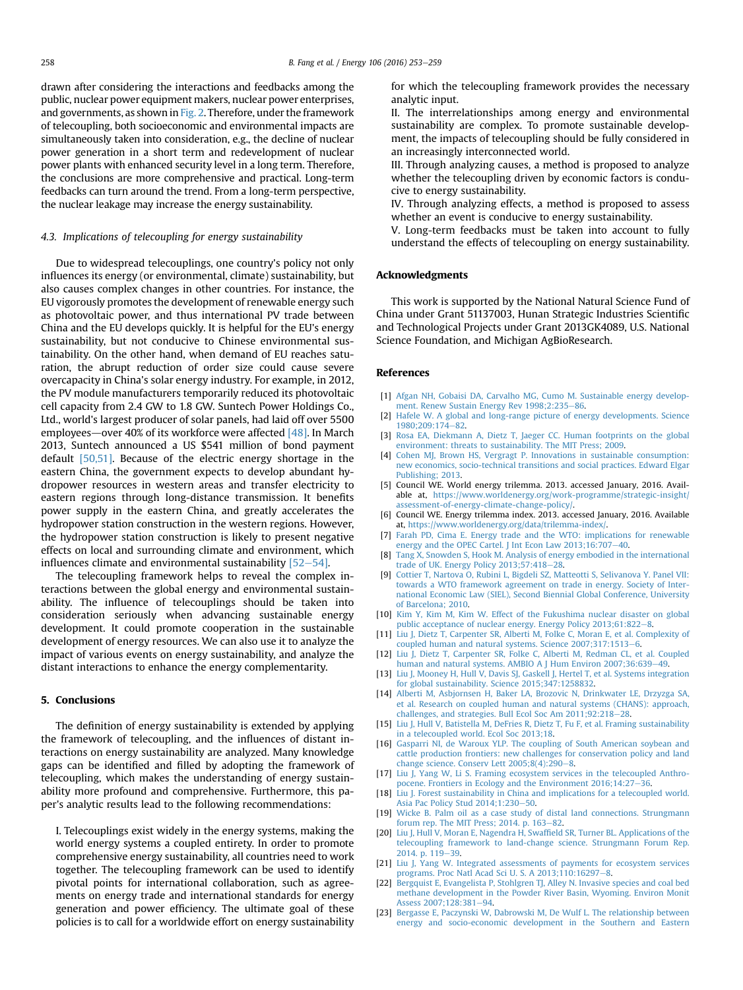drawn after considering the interactions and feedbacks among the public, nuclear power equipment makers, nuclear power enterprises, and governments, as shown in Fig. 2. Therefore, under the framework of telecoupling, both socioeconomic and environmental impacts are simultaneously taken into consideration, e.g., the decline of nuclear power generation in a short term and redevelopment of nuclear power plants with enhanced security level in a long term. Therefore, the conclusions are more comprehensive and practical. Long-term feedbacks can turn around the trend. From a long-term perspective, the nuclear leakage may increase the energy sustainability.

#### 4.3. Implications of telecoupling for energy sustainability

Due to widespread telecouplings, one country's policy not only influences its energy (or environmental, climate) sustainability, but also causes complex changes in other countries. For instance, the EU vigorously promotes the development of renewable energy such as photovoltaic power, and thus international PV trade between China and the EU develops quickly. It is helpful for the EU's energy sustainability, but not conducive to Chinese environmental sustainability. On the other hand, when demand of EU reaches saturation, the abrupt reduction of order size could cause severe overcapacity in China's solar energy industry. For example, in 2012, the PV module manufacturers temporarily reduced its photovoltaic cell capacity from 2.4 GW to 1.8 GW. Suntech Power Holdings Co., Ltd., world's largest producer of solar panels, had laid off over 5500 employees—over 40% of its workforce were affected  $[48]$ . In March 2013, Suntech announced a US \$541 million of bond payment default [50,51]. Because of the electric energy shortage in the eastern China, the government expects to develop abundant hydropower resources in western areas and transfer electricity to eastern regions through long-distance transmission. It benefits power supply in the eastern China, and greatly accelerates the hydropower station construction in the western regions. However, the hydropower station construction is likely to present negative effects on local and surrounding climate and environment, which influences climate and environmental sustainability  $[52-54]$ .

The telecoupling framework helps to reveal the complex interactions between the global energy and environmental sustainability. The influence of telecouplings should be taken into consideration seriously when advancing sustainable energy development. It could promote cooperation in the sustainable development of energy resources. We can also use it to analyze the impact of various events on energy sustainability, and analyze the distant interactions to enhance the energy complementarity.

# 5. Conclusions

The definition of energy sustainability is extended by applying the framework of telecoupling, and the influences of distant interactions on energy sustainability are analyzed. Many knowledge gaps can be identified and filled by adopting the framework of telecoupling, which makes the understanding of energy sustainability more profound and comprehensive. Furthermore, this paper's analytic results lead to the following recommendations:

I. Telecouplings exist widely in the energy systems, making the world energy systems a coupled entirety. In order to promote comprehensive energy sustainability, all countries need to work together. The telecoupling framework can be used to identify pivotal points for international collaboration, such as agreements on energy trade and international standards for energy generation and power efficiency. The ultimate goal of these policies is to call for a worldwide effort on energy sustainability for which the telecoupling framework provides the necessary analytic input.

II. The interrelationships among energy and environmental sustainability are complex. To promote sustainable development, the impacts of telecoupling should be fully considered in an increasingly interconnected world.

III. Through analyzing causes, a method is proposed to analyze whether the telecoupling driven by economic factors is conducive to energy sustainability.

IV. Through analyzing effects, a method is proposed to assess whether an event is conducive to energy sustainability.

V. Long-term feedbacks must be taken into account to fully understand the effects of telecoupling on energy sustainability.

#### Acknowledgments

This work is supported by the National Natural Science Fund of China under Grant 51137003, Hunan Strategic Industries Scientific and Technological Projects under Grant 2013GK4089, U.S. National Science Foundation, and Michigan AgBioResearch.

#### References

- [1] Afgan NH, Gobaisi DA, Carvalho MG, Cumo M. Sustainable energy development. Renew Sustain Energy Rev 1998;2:235-86.
- [2] Hafele W. A global and long-range picture of energy developments. Science 1980;209:174-82.
- [3] Rosa EA, Diekmann A, Dietz T, Jaeger CC. Human footprints on the global environment: threats to sustainability. The MIT Press; 2009.
- [4] Cohen MJ, Brown HS, Vergragt P. Innovations in sustainable consumption: new economics, socio-technical transitions and social practices. Edward Elgar Publishing; 2013.
- [5] Council WE. World energy trilemma. 2013. accessed January, 2016. Available at, https://www.worldenergy.org/work-programme/strategic-insight/ assessment-of-energy-climate-change-policy/.
- [6] Council WE. Energy trilemma index. 2013. accessed January, 2016. Available at, https://www.worldenergy.org/data/trilemma-index/.
- [7] Farah PD, Cima E. Energy trade and the WTO: implications for renewable energy and the OPEC Cartel. J Int Econ Law  $2013;16:707-40$ .
- [8] Tang X, Snowden S, Hook M. Analysis of energy embodied in the international trade of UK. Energy Policy  $2013;57:418-28$ .
- [9] Cottier T, Nartova O, Rubini L, Bigdeli SZ, Matteotti S, Selivanova Y. Panel VII: towards a WTO framework agreement on trade in energy. Society of International Economic Law (SIEL), Second Biennial Global Conference, University of Barcelona; 2010.
- [10] Kim Y, Kim M, Kim W. Effect of the Fukushima nuclear disaster on global public acceptance of nuclear energy. Energy Policy 2013;61:822-8.
- [11] Liu J, Dietz T, Carpenter SR, Alberti M, Folke C, Moran E, et al. Complexity of coupled human and natural systems. Science 2007;317:1513-6.
- [12] Liu J, Dietz T, Carpenter SR, Folke C, Alberti M, Redman CL, et al. Coupled human and natural systems. AMBIO A I Hum Environ  $2007:36:639-49$ . [13] Liu J, Mooney H, Hull V, Davis SJ, Gaskell J, Hertel T, et al. Systems integration
- for global sustainability. Science 2015;347:1258832.
- [14] Alberti M, Asbjornsen H, Baker LA, Brozovic N, Drinkwater LE, Drzyzga SA, et al. Research on coupled human and natural systems (CHANS): approach, challenges, and strategies. Bull Ecol Soc Am  $2011$ ;92:218 $-28$ .
- [15] Liu J, Hull V, Batistella M, DeFries R, Dietz T, Fu F, et al. Framing sustainability in a telecoupled world. Ecol Soc 2013;18.
- [16] Gasparri NI, de Waroux YLP. The coupling of South American soybean and cattle production frontiers: new challenges for conservation policy and land change science. Conserv Lett  $2005;8(4):290-8$ .
- [17] Liu J, Yang W, Li S. Framing ecosystem services in the telecoupled Anthropocene. Frontiers in Ecology and the Environment 2016;14:27-36
- [18] Liu J. Forest sustainability in China and implications for a telecoupled world. Asia Pac Policy Stud 2014;1:230-50.
- [19] Wicke B. Palm oil as a case study of distal land connections. Strungmann forum rep. The MIT Press; 2014. p. 163–82.<br>[20] Liu J, Hull V, Moran E, Nagendra H, Swaffield SR, Turner BL. Applications of the
- telecoupling framework to land-change science. Strungmann Forum Rep. 2014. p. 119-39.
- [21] Liu J, Yang W. Integrated assessments of payments for ecosystem services programs. Proc Natl Acad Sci U. S. A 2013;110:16297-8.
- [22] Bergquist E, Evangelista P, Stohlgren TJ, Alley N. Invasive species and coal bed methane development in the Powder River Basin, Wyoming. Environ Monit Assess 2007;128:381-94.
- [23] Bergasse E, Paczynski W, Dabrowski M, De Wulf L. The relationship between energy and socio-economic development in the Southern and Eastern